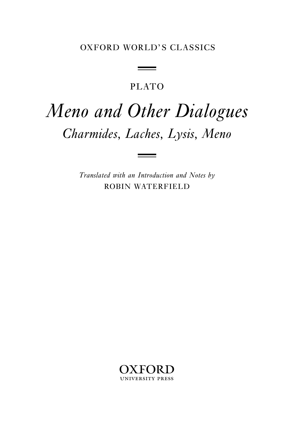### PLATO

# <span id="page-0-0"></span>*Meno and Other Dialogues Charmides, Laches, Lysis, Meno*

*Translated with an Introduction and Notes by* ROBIN WATERFIELD

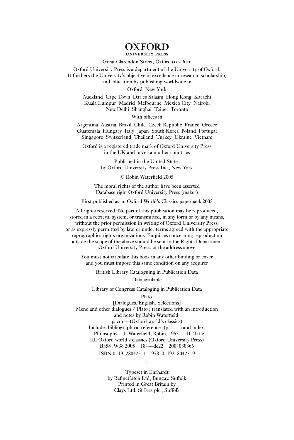## **OXFORD**<br>UNIVERSITY PRESS

Great Clarendon Street, Oxford

Oxford University Press is a department of the University of Oxford. It furthers the University's objective of excellence in research, scholarship, and education by publishing worldwide in

Oxford New York

Auckland Cape Town Dar es Salaam Hong Kong Karachi Kuala Lumpur Madrid Melbourne Mexico City Nairobi New Delhi Shanghai Taipei Toronto

With offices in

Argentina Austria Brazil Chile Czech Republic France Greece Guatemala Hungary Italy Japan South Korea Poland Portugal Singapore Switzerland Thailand Turkey Ukraine Vietnam

Oxford is a registered trade mark of Oxford University Press in the UK and in certain other countries

> Published in the United States by Oxford University Press Inc., New York

> > © Robin Waterfield 2005

The moral rights of the author have been asserted Database right Oxford University Press (maker)

First published as an Oxford World's Classics paperback 2005

All rights reserved. No part of this publication may be reproduced, stored in a retrieval system, or transmitted, in any form or by any means, without the prior permission in writing of Oxford University Press, or as expressly permitted by law, or under terms agreed with the appropriate reprographics rights organizations. Enquiries concerning reproduction outside the scope of the above should be sent to the Rights Department, Oxford University Press, at the address above

You must not circulate this book in any other binding or cover and you must impose this same condition on any acquirer

British Library Cataloguing in Publication Data

Data available

Library of Congress Cataloging in Publication Data

Plato.

[Dialogues. English. Selections] Meno and other dialogues / Plato ; translated with an introduction and notes by Robin Waterfield. p. cm.––(Oxford world's classics) Includes bibliographical references (p. ) and index. 1. Philosophy. I. Waterfield, Robin, 1952– II. Title. III. Oxford world's classics (Oxford University Press) B358 .W38 2005 184––dc22 2004030366 ISBN 0–19–280425–1 978–0–192–80425–9

1

Typeset in Ehrhardt by RefineCatch Ltd, Bungay, Suffolk Printed in Great Britain by Clays Ltd, St Ives plc., Suffolk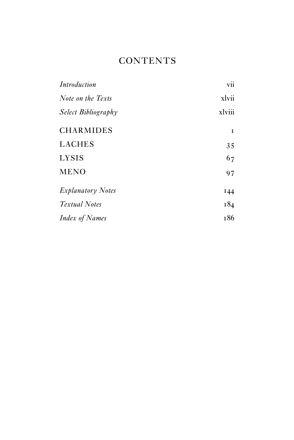### **CONTENTS**

<span id="page-2-0"></span>

| <b>Introduction</b>   | vii         |
|-----------------------|-------------|
| Note on the Texts     | xlvii       |
| Select Bibliography   | xlviii      |
| CHARMIDES             | $\mathbf I$ |
| LACHES                | 35          |
| LYSIS                 | 67          |
| MENO                  | 97          |
| Explanatory Notes     | 144         |
| <b>Textual Notes</b>  | 184         |
| <b>Index of Names</b> | 186         |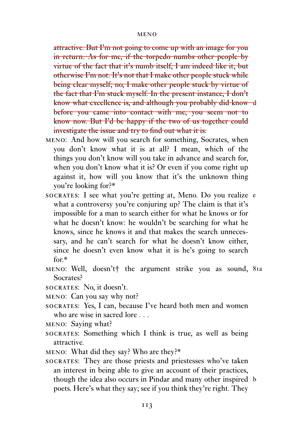attractive. But I'm not going to come up with an image for you in return. As for me, if the torpedo numbs other people by virtue of the fact that it's numb itself, I am indeed like it, but otherwise I'm not. It's not that I make other people stuck while being clear myself; no, I make other people stuck by virtue of the fact that I'm stuck myself. In the present instance, I don't know what excellence is, and although you probably did know d before you came into contact with me, you seem not to know now. But I'd be happy if the two of us together could investigate the issue and try to find out what it is.

: And how will you search for something, Socrates, when you don't know what it is at all? I mean, which of the things you don't know will you take in advance and search for, when you don't know what it is? Or even if you come right up against it, how will you know that it's the unknown thing you're looking for?\*

: I see what you're getting at, Meno. Do you realize e what a controversy you're conjuring up? The claim is that it's impossible for a man to search either for what he knows or for what he doesn't know: he wouldn't be searching for what he knows, since he knows it and that makes the search unnecessary, and he can't search for what he doesn't know either, since he doesn't even know what it is he's going to search  $for$ \*

- MENO: Well, doesn't† the argument strike you as sound, 81a Socrates?
- : No, it doesn't.
- MENO: Can you say why not?
- : Yes, I can, because I've heard both men and women who are wise in sacred lore...
- MENO: Saving what?
- : Something which I think is true, as well as being attractive.
- : What did they say? Who are they?\*
- : They are those priests and priestesses who've taken an interest in being able to give an account of their practices, though the idea also occurs in Pindar and many other inspired b poets. Here's what they say; see if you think they're right. They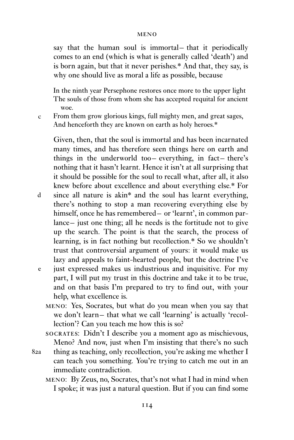#### **MENO**

say that the human soul is immortal– that it periodically comes to an end (which is what is generally called 'death') and is born again, but that it never perishes.\* And that, they say, is why one should live as moral a life as possible, because

In the ninth year Persephone restores once more to the upper light The souls of those from whom she has accepted requital for ancient woe.

c From them grow glorious kings, full mighty men, and great sages, And henceforth they are known on earth as holy heroes.\*

Given, then, that the soul is immortal and has been incarnated many times, and has therefore seen things here on earth and things in the underworld too– everything, in fact– there's nothing that it hasn't learnt. Hence it isn't at all surprising that it should be possible for the soul to recall what, after all, it also knew before about excellence and about everything else.\* For d since all nature is akin\* and the soul has learnt everything, there's nothing to stop a man recovering everything else by himself, once he has remembered– or 'learnt', in common parlance– just one thing; all he needs is the fortitude not to give up the search. The point is that the search, the process of learning, is in fact nothing but recollection.\* So we shouldn't trust that controversial argument of yours: it would make us lazy and appeals to faint-hearted people, but the doctrine I've

- e just expressed makes us industrious and inquisitive. For my part, I will put my trust in this doctrine and take it to be true, and on that basis I'm prepared to try to find out, with your help, what excellence is.
	- : Yes, Socrates, but what do you mean when you say that we don't learn– that what we call 'learning' is actually 'recollection'? Can you teach me how this is so?
	- : Didn't I describe you a moment ago as mischievous, Meno? And now, just when I'm insisting that there's no such
- $82a$  thing as teaching, only recollection, you're asking me whether I can teach you something. You're trying to catch me out in an immediate contradiction.
	- : By Zeus, no, Socrates, that's not what I had in mind when I spoke; it was just a natural question. But if you can find some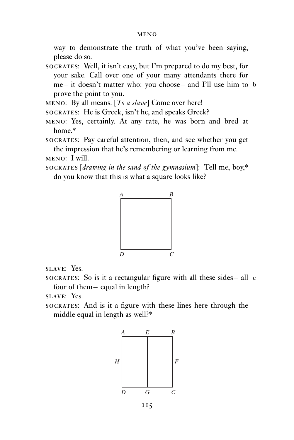way to demonstrate the truth of what you've been saying, please do so.

: Well, it isn't easy, but I'm prepared to do my best, for your sake. Call over one of your many attendants there for me– it doesn't matter who: you choose– and I'll use him to b prove the point to you.

: By all means. [*To a slave*] Come over here!

: He is Greek, isn't he, and speaks Greek?

: Yes, certainly. At any rate, he was born and bred at home\*

: Pay careful attention, then, and see whether you get the impression that he's remembering or learning from me.

MENO<sup>.</sup> I will

 [*drawing in the sand of the gymnasium*]: Tell me, boy,\* do you know that this is what a square looks like?



SLAVE: Yes.

so CRATES: So is it a rectangular figure with all these sides– all c four of them– equal in length?

SLAVE: Yes.

: And is it a figure with these lines here through the middle equal in length as well?\*

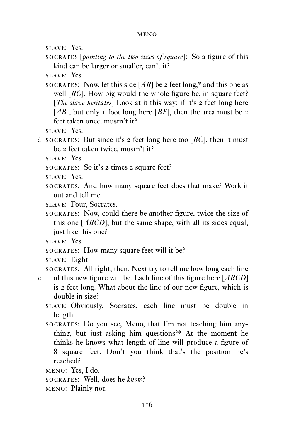SLAVE: Yes.

 [*pointing to the two sizes of square*]: So a figure of this kind can be larger or smaller, can't it?

 $SLAVE: Yes$ 

SOCRATES: Now, let this side  $[AB]$  be 2 feet long,\* and this one as well [*BC*]. How big would the whole figure be, in square feet? [*The slave hesitates*] Look at it this way: if it's 2 feet long here [ $AB$ ], but only I foot long here [ $BF$ ], then the area must be 2 feet taken once, mustn't it?

- d socrates: But since it's 2 feet long here too  $[BC]$ , then it must be 2 feet taken twice, mustn't it?
	- $SLAVE$  Yes.
	- SOCRATES: So it's 2 times 2 square feet?
	- $SLAVE: Yes$
	- : And how many square feet does that make? Work it out and tell me.
	- : Four, Socrates.
	- : Now, could there be another figure, twice the size of this one [*ABCD*], but the same shape, with all its sides equal, just like this one?

: How many square feet will it be?

- e of this new figure will be. Each line of this figure here [*ABCD*] is 2 feet long. What about the line of our new figure, which is double in size?
	- : Obviously, Socrates, each line must be double in length.
	- : Do you see, Meno, that I'm not teaching him anything, but just asking him questions?\* At the moment he thinks he knows what length of line will produce a figure of square feet. Don't you think that's the position he's reached?

SLAVE: Yes.

SLAVE: Yes.

SLAVE: Eight.

<sup>:</sup> All right, then. Next try to tell me how long each line

MENO: Yes, I do.

<sup>:</sup> Well, does he *know*?

MENO: Plainly not.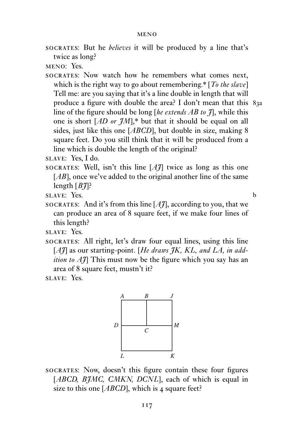: But he *believes* it will be produced by a line that's twice as long?

MENO<sup>.</sup> Yes.

: Now watch how he remembers what comes next, which is the right way to go about remembering.\* [*To the slave*] Tell me: are you saying that it's a line double in length that will produce a figure with double the area? I don't mean that this 83a line of the figure should be long [*he extends AB to J*], while this one is short [*AD or JM*],\* but that it should be equal on all sides, just like this one [*ABCD*], but double in size, making 8 square feet. Do you still think that it will be produced from a line which is double the length of the original?

: Yes, I do.

: Well, isn't this line [*AJ*] twice as long as this one [*AB*], once we've added to the original another line of the same length [*BJ*]?

slave: Yes. b

SOCRATES: And it's from this line  $[A \mathcal{I}]$ , according to you, that we can produce an area of 8 square feet, if we make four lines of this length?

 $SLAVE$  Yes.

: All right, let's draw four equal lines, using this line [A<sub>*T*</sub>] as our starting-point. [He draws IK, KL, and LA, in add*ition to AT* This must now be the figure which you say has an area of  $8$  square feet, mustn't it?

SLAVE: Yes.



: Now, doesn't this figure contain these four figures [ABCD, BJMC, CMKN, DCNL], each of which is equal in size to this one  $[ABCD]$ , which is 4 square feet?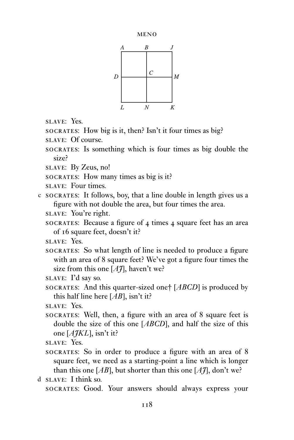

SLAVE: Yes.

: How big is it, then? Isn't it four times as big?

- SLAVE: Of course.
- : Is something which is four times as big double the size?
- : By Zeus, no!
- : How many times as big is it?
- : Four times.
- c : It follows, boy, that a line double in length gives us a figure with not double the area, but four times the area.
	- : You're right.
	- SOCRATES: Because a figure of  $4$  times  $4$  square feet has an area of 16 square feet, doesn't it?

SLAVE: Yes.

- : So what length of line is needed to produce a figure with an area of 8 square feet? We've got a figure four times the size from this one [*AJ*], haven't we?
- SLAVE: I'd say so.
- : And this quarter-sized one† [*ABCD*] is produced by this half line here [*AB*], isn't it?

 $SLAVE$  Yes.

 $SOCRATES: Well, then, a figure with an area of 8 square feet is$ double the size of this one [*ABCD*], and half the size of this one [*AJKL*], isn't it?

SLAVE: Yes.

so CRATES: So in order to produce a figure with an area of 8 square feet, we need as a starting-point a line which is longer than this one  $[AB]$ , but shorter than this one  $[A\mathcal{F}]$ , don't we?

d SLAVE: I think so.

: Good. Your answers should always express your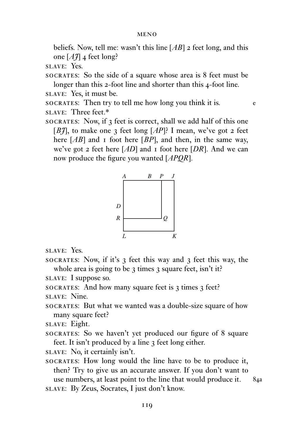#### **MENO**

beliefs. Now, tell me: wasn't this line  $[AB]$  2 feet long, and this one  $[A4]$  4 feet long?

 $SLAVE$  Yes.

: So the side of a square whose area is feet must be longer than this 2-foot line and shorter than this 4-foot line.

: Yes, it must be.

: Then try to tell me how long you think it is. e

 $SLAVE: Three feet$ 

so CRATES: Now, if 3 feet is correct, shall we add half of this one [ $B\mathcal{F}$ ], to make one 3 feet long  $[AP]$ ? I mean, we've got 2 feet here  $[AB]$  and  $\bar{I}$  foot here  $[BP]$ , and then, in the same way, we've got 2 feet here [*AD*] and *I* foot here [*DR*]. And we can now produce the figure you wanted [*APQR*].



SLAVE: Yes.

SOCRATES: Now, if it's  $\alpha$  feet this way and  $\alpha$  feet this way, the whole area is going to be  $3$  times  $3$  square feet, isn't it?

: I suppose so.

socrates: And how many square feet is 3 times 3 feet?

SLAVE<sup>.</sup> Nine

: But what we wanted was a double-size square of how many square feet?

SLAVE: Eight.

SOCRATES: So we haven't vet produced our figure of 8 square feet. It isn't produced by a line 3 feet long either.

: No, it certainly isn't.

: How long would the line have to be to produce it, then? Try to give us an accurate answer. If you don't want to use numbers, at least point to the line that would produce it. 84a

: By Zeus, Socrates, I just don't know.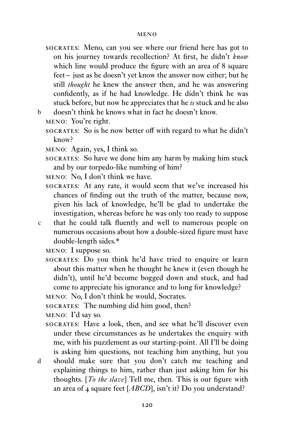- : Meno, can you see where our friend here has got to on his journey towards recollection? At first, he didn't *know* which line would produce the figure with an area of  $8$  square feet– just as he doesn't yet know the answer now either; but he still *thought* he knew the answer then, and he was answering confidently, as if he had knowledge. He didn't think he was stuck before, but now he appreciates that he *is* stuck and he also
- b doesn't think he knows what in fact he doesn't know.

MENO: You're right.

- : So is he now better off with regard to what he didn't know?
- : Again, yes, I think so.
- : So have we done him any harm by making him stuck and by our torpedo-like numbing of him?
- MENO: No, I don't think we have.
- : At any rate, it would seem that we've increased his chances of finding out the truth of the matter, because now, given his lack of knowledge, he'll be glad to undertake the investigation, whereas before he was only too ready to suppose
- c that he could talk fluently and well to numerous people on numerous occasions about how a double-sized figure must have double-length sides.\*

MENO: I suppose so.

: Do you think he'd have tried to enquire or learn about this matter when he thought he knew it (even though he didn't), until he'd become bogged down and stuck, and had come to appreciate his ignorance and to long for knowledge?

MENO: No, I don't think he would, Socrates.

: The numbing did him good, then?

MENO: I'd say so.

- : Have a look, then, and see what he'll discover even under these circumstances as he undertakes the enquiry with me, with his puzzlement as our starting-point. All I'll be doing is asking him questions, not teaching him anything, but you
- d should make sure that you don't catch me teaching and explaining things to him, rather than just asking him for his thoughts. [*To the slave*] Tell me, then. This is our figure with an area of 4 square feet  $[ABCD]$ , isn't it? Do you understand?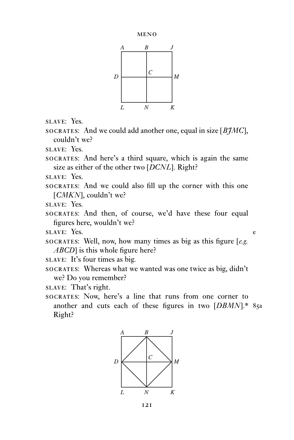

SLAVE: Yes.

: And we could add another one, equal in size [*BJMC*], couldn't we?

SLAVE: Yes.

- : And here's a third square, which is again the same size as either of the other two [*DCNL*]. Right?
- SLAVE: Yes.
- : And we could also fill up the corner with this one [*CMKN*], couldn't we?
- SLAVE: Yes.
- : And then, of course, we'd have these four equal figures here, wouldn't we?
- slave: Yes. e
- : Well, now, how many times as big as this figure [*e.g. ABCD*] is this whole figure here?
- : It's four times as big.
- : Whereas what we wanted was one twice as big, didn't we? Do you remember?
- : That's right.
- : Now, here's a line that runs from one corner to another and cuts each of these figures in two [DBMN].\* 85a Right?



**I2I**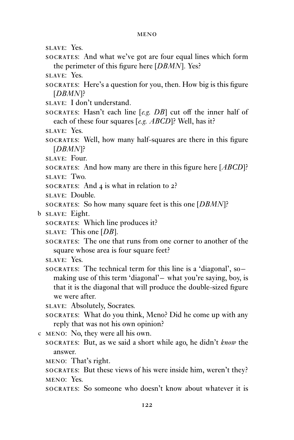SLAVE: Yes.

- : And what we've got are four equal lines which form the perimeter of this figure here [*DBMN*]. Yes?
- $SLAVE: Yes$
- : Here's a question for you, then. How big is this figure [*DBMN*]?
- : I don't understand.
- : Hasn't each line [*e.g. DB*] cut off the inner half of each of these four squares [*e.g. ABCD*]? Well, has it?
- SLAVE: Yes.
- : Well, how many half-squares are there in this figure [*DBMN*]?
- SLAVE: Four.
- : And how many are there in this figure here [*ABCD*]? SLAVE: Two.
- SOCRATES: And  $4$  is what in relation to  $2$ ?
- SLAVE: Double.
- : So how many square feet is this one [*DBMN*]?
- b SLAVE: Eight.
	- : Which line produces it?
	- : This one [*DB*].
	- : The one that runs from one corner to another of the square whose area is four square feet?
	- $SLAVE$  Yes.
	- : The technical term for this line is a 'diagonal', so– making use of this term 'diagonal'– what you're saying, boy, is that it is the diagonal that will produce the double-sized figure we were after.
	- : Absolutely, Socrates.
	- : What do you think, Meno? Did he come up with any reply that was not his own opinion?
- c MENO: No, they were all his own.
	- : But, as we said a short while ago, he didn't *know* the answer.
	- MENO: That's right.
	- : But these views of his were inside him, weren't they? MENO<sup>.</sup> Yes.
	- : So someone who doesn't know about whatever it is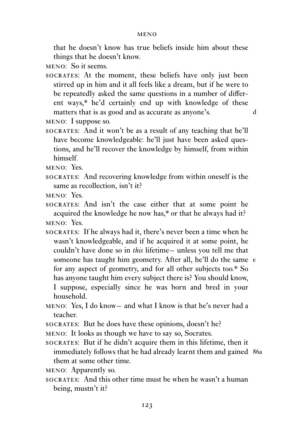that he doesn't know has true beliefs inside him about these things that he doesn't know.

MENO: So it seems.

: At the moment, these beliefs have only just been stirred up in him and it all feels like a dream, but if he were to be repeatedly asked the same questions in a number of different ways,\* he'd certainly end up with knowledge of these matters that is as good and as accurate as anyone's. d

MENO: I suppose so.

: And it won't be as a result of any teaching that he'll have become knowledgeable: he'll just have been asked questions, and he'll recover the knowledge by himself, from within himself.

MENO<sup>.</sup> Yes.

- : And recovering knowledge from within oneself is the same as recollection, isn't it?
- MENO: Yes.

- : If he always had it, there's never been a time when he wasn't knowledgeable, and if he acquired it at some point, he couldn't have done so in *this* lifetime– unless you tell me that someone has taught him geometry. After all, he'll do the same e for any aspect of geometry, and for all other subjects too.\* So has anyone taught him every subject there is? You should know, I suppose, especially since he was born and bred in your household.
- : Yes, I do know– and what I know is that he's never had a teacher.
- : But he does have these opinions, doesn't he?
- MENO: It looks as though we have to say so, Socrates.
- : But if he didn't acquire them in this lifetime, then it immediately follows that he had already learnt them and gained 86a them at some other time.

MENO: Apparently so.

: And this other time must be when he wasn't a human being, mustn't it?

<sup>:</sup> And isn't the case either that at some point he acquired the knowledge he now has,\* or that he always had it? MENO: Yes.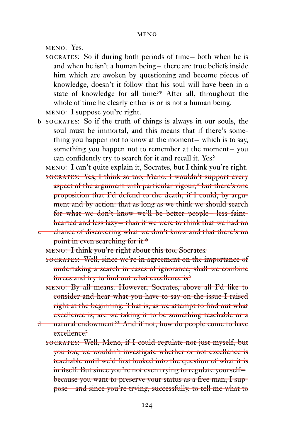MENO: Yes.

- : So if during both periods of time– both when he is and when he isn't a human being– there are true beliefs inside him which are awoken by questioning and become pieces of knowledge, doesn't it follow that his soul will have been in a state of knowledge for all time?\* After all, throughout the whole of time he clearly either is or is not a human being.
- MENO: I suppose you're right.
- b socrates: So if the truth of things is always in our souls, the soul must be immortal, and this means that if there's something you happen not to know at the moment– which is to say, something you happen not to remember at the moment– you can confidently try to search for it and recall it. Yes?
	- : I can't quite explain it, Socrates, but I think you're right. socrates: Yes, I think so too, Meno. I wouldn't support every aspect of the argument with particular vigour,\* but there's one proposition that I'd defend to the death, if I could, by argument and by action: that as long as we think we should search for what we don't know we'll be better people– less fainthearted and less lazy– than if we were to think that we had no
- c chance of discovering what we don't know and that there's no point in even searching for it.\*
	- MENO: I think you're right about this too, Socrates.
	- so CRATES: Well, since we're in agreement on the importance of undertaking a search in cases of ignorance, shall we combine forces and try to find out what excellence is?
	- : By all means. However, Socrates, above all I'd like to consider and hear what you have to say on the issue I raised right at the beginning. That is, as we attempt to find out what excellence is, are we taking it to be something teachable or a
- d natural endowment?\* And if not, how do people come to have excellence?
	- : Well, Meno, if I could regulate not just myself, but you too, we wouldn't investigate whether or not excellence is teachable until we'd first looked into the question of what it is in itself. But since you're not even trying to regulate yourself– because you want to preserve your status as a free man, I suppose– and since you're trying, successfully, to tell me what to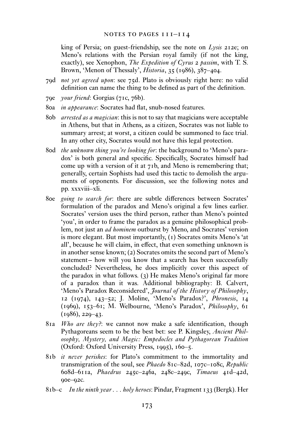king of Persia; on guest-friendship, see the note on  $Ly\sin 212e$ ; on Meno's relations with the Persian royal family (if not the king, exactly), see Xenophon, *The Expedition of Cyrus* 2 passim, with T. S. Brown, 'Menon of Thessaly', *Historia*, 35 (1986), 387-404.

- 79d *not yet agreed upon*: see 75d. Plato is obviously right here: no valid definition can name the thing to be defined as part of the definition.
- 70e *your friend*: Gorgias (71c, 76b).
- a *in appearance*: Socrates had flat, snub-nosed features.
- b *arrested as a magician*: this is not to say that magicians were acceptable in Athens, but that in Athens, as a citizen, Socrates was not liable to summary arrest; at worst, a citizen could be summoned to face trial. In any other city, Socrates would not have this legal protection.
- d *the unknown thing you're looking for*: the background to 'Meno's paradox' is both general and specific. Specifically, Socrates himself had come up with a version of it at  $71b$ , and Meno is remembering that; generally, certain Sophists had used this tactic to demolish the arguments of opponents. For discussion, see the following notes and pp. xxxviii–xli.
- e *going to search for*: there are subtle differences between Socrates' formulation of the paradox and Meno's original a few lines earlier. Socrates' version uses the third person, rather than Meno's pointed 'you', in order to frame the paradox as a genuine philosophical problem, not just an *ad hominem* outburst by Meno, and Socrates' version is more elegant. But most importantly,  $(i)$  Socrates omits Meno's 'at all', because he will claim, in effect, that even something unknown is in another sense known; (2) Socrates omits the second part of Meno's statement– how will you know that a search has been successfully concluded? Nevertheless, he does implicitly cover this aspect of the paradox in what follows.  $(3)$  He makes Meno's original far more of a paradox than it was. Additional bibliography: B. Calvert, 'Meno's Paradox Reconsidered', *Journal of the History of Philosophy*, 12 (1974), 143-52; J. Moline, 'Meno's Paradox?', *Phronesis*, 14  $(1060)$ ,  $153-61$ ; M. Welbourne, 'Meno's Paradox', *Philosophy*, 61  $(1086), 220 - 43.$
- $8a$  *Who are they?*: we cannot now make a safe identification, though Pythagoreans seem to be the best bet: see P. Kingsley, *Ancient Philosophy, Mystery, and Magic: Empedocles and Pythagorean Tradition* (Oxford: Oxford University Press,  $1995$ ),  $160-5$ .
- b *it never perishes*: for Plato's commitment to the immortality and transmigration of the soul, see *Phaedo* 81c–82d, 107c–108c, *Republic* 608d–611a, *Phaedrus* 245c–246a, 248c–249c, *Timaeus* 41d–42d, qoe-q2c.
- 81b–c *In the ninth year . . . holy heroes*: Pindar, Fragment 133 (Bergk). Her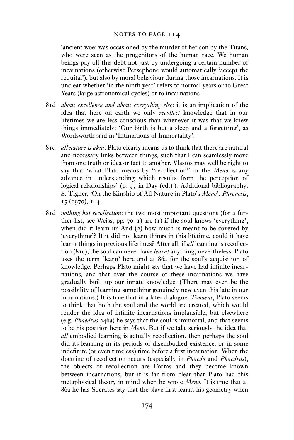#### **NOTES TO PAGE 114**

'ancient woe' was occasioned by the murder of her son by the Titans, who were seen as the progenitors of the human race. We human beings pay off this debt not just by undergoing a certain number of incarnations (otherwise Persephone would automatically 'accept the requital'), but also by moral behaviour during those incarnations. It is unclear whether 'in the ninth year' refers to normal years or to Great Years (large astronomical cycles) or to incarnations.

- d *about excellence and about everything else*: it is an implication of the idea that here on earth we only *recollect* knowledge that in our lifetimes we are less conscious than whenever it was that we knew things immediately: 'Our birth is but a sleep and a forgetting', as Wordsworth said in 'Intimations of Immortality'.
- d *all nature is akin*: Plato clearly means us to think that there are natural and necessary links between things, such that I can seamlessly move from one truth or idea or fact to another. Vlastos may well be right to say that 'what Plato means by "recollection" in the *Meno* is any advance in understanding which results from the perception of logical relationships' (p.  $97$  in Day (ed.) ). Additional bibliography: S. Tigner, 'On the Kinship of All Nature in Plato's *Meno*', *Phronesis*,  $15(1970), 1-4.$
- d *nothing but recollection*: the two most important questions (for a further list, see Weiss, pp.  $70-1$  are (1) if the soul knows 'everything', when did it learn it? And  $(2)$  how much is meant to be covered by 'everything'? If it did not learn things in this lifetime, could it have learnt things in previous lifetimes? After all, if *all* learning is recollection (8<sub>1c</sub>), the soul can never have *learnt* anything; nevertheless, Plato uses the term 'learn' here and at 86a for the soul's acquisition of knowledge. Perhaps Plato might say that we have had infinite incarnations, and that over the course of these incarnations we have gradually built up our innate knowledge. (There may even be the possibility of learning something genuinely new even this late in our incarnations.) It is true that in a later dialogue, *Timaeus*, Plato seems to think that both the soul and the world are created, which would render the idea of infinite incarnations implausible; but elsewhere (e.g. *Phaedrus* 246a) he says that the soul is immortal, and that seems to be his position here in *Meno*. But if we take seriously the idea that *all* embodied learning is actually recollection, then perhaps the soul did its learning in its periods of disembodied existence, or in some indefinite (or even timeless) time before a first incarnation. When the doctrine of recollection recurs (especially in *Phaedo* and *Phaedrus*), the objects of recollection are Forms and they become known between incarnations, but it is far from clear that Plato had this metaphysical theory in mind when he wrote *Meno*. It is true that at 86a he has Socrates say that the slave first learnt his geometry when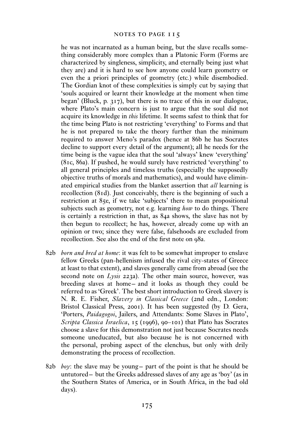he was not incarnated as a human being, but the slave recalls something considerably more complex than a Platonic Form (Forms are characterized by singleness, simplicity, and eternally being just what they are) and it is hard to see how anyone could learn geometry or even the a priori principles of geometry (etc.) while disembodied. The Gordian knot of these complexities is simply cut by saying that 'souls acquired or learnt their knowledge at the moment when time began' (Bluck, p.  $317$ ), but there is no trace of this in our dialogue, where Plato's main concern is just to argue that the soul did not acquire its knowledge in *this* lifetime. It seems safest to think that for the time being Plato is not restricting 'everything' to Forms and that he is not prepared to take the theory further than the minimum required to answer Meno's paradox (hence at 86b he has Socrates decline to support every detail of the argument); all he needs for the time being is the vague idea that the soul 'always' knew 'everything'  $(8c, 86a)$ . If pushed, he would surely have restricted 'everything' to all general principles and timeless truths (especially the supposedly objective truths of morals and mathematics), and would have eliminated empirical studies from the blanket assertion that *all* learning is recollection  $(8id)$ . Just conceivably, there is the beginning of such a restriction at  $85e$ , if we take 'subjects' there to mean propositional subjects such as geometry, not e.g. learning *how* to do things. There is certainly a restriction in that, as 84a shows, the slave has not by then begun to recollect; he has, however, already come up with an opinion or two; since they were false, falsehoods are excluded from recollection. See also the end of the first note on  $\alpha$ 8a.

- b *born and bred at home*: it was felt to be somewhat improper to enslave fellow Greeks (pan-hellenism infused the rival city-states of Greece at least to that extent), and slaves generally came from abroad (see the second note on  $L$ *ysis*  $223a$ ). The other main source, however, was breeding slaves at home– and it looks as though they could be referred to as 'Greek'. The best short introduction to Greek slavery is N. R. E. Fisher, *Slavery in Classical Greece* (2nd edn., London: Bristol Classical Press, 2001). It has been suggested (by D. Gera, 'Porters, *Paidagogoi*, Jailers, and Attendants: Some Slaves in Plato', *Scripta Classica Israelica*, 15 (1996), 90–101) that Plato has Socrates choose a slave for this demonstration not just because Socrates needs someone uneducated, but also because he is not concerned with the personal, probing aspect of the elenchus, but only with drily demonstrating the process of recollection.
- b *boy*: the slave may be young– part of the point is that he should be untutored– but the Greeks addressed slaves of any age as 'boy' (as in the Southern States of America, or in South Africa, in the bad old days).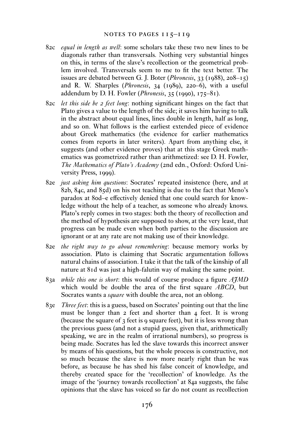- c *equal in length as well*: some scholars take these two new lines to be diagonals rather than transversals. Nothing very substantial hinges on this, in terms of the slave's recollection or the geometrical problem involved. Transversals seem to me to fit the text better. The issues are debated between G. J. Boter (*Phronesis*,  $33$  ( $1988$ ),  $208-15$ ) and R. W. Sharples (*Phronesis*,  $34$  ( $1080$ ),  $220-6$ ), with a useful addendum by D. H. Fowler (*Phronesis*, 35 (1990), 175-81).
- c *let this side be feet long*: nothing significant hinges on the fact that Plato gives a value to the length of the side; it saves him having to talk in the abstract about equal lines, lines double in length, half as long, and so on. What follows is the earliest extended piece of evidence about Greek mathematics (the evidence for earlier mathematics comes from reports in later writers). Apart from anything else, it suggests (and other evidence proves) that at this stage Greek mathematics was geometrized rather than arithmetized: see D. H. Fowler, *The Mathematics of Plato's Academy* (2nd edn., Oxford: Oxford University Press, 1000).
- e *just asking him questions*: Socrates' repeated insistence (here, and at 82b, 84c, and 85d) on his not teaching is due to the fact that Meno's paradox at 8od–e effectively denied that one could search for knowledge without the help of a teacher, as someone who already knows. Plato's reply comes in two stages: both the theory of recollection and the method of hypothesis are supposed to show, at the very least, that progress can be made even when both parties to the discussion are ignorant or at any rate are not making use of their knowledge.
- e *the right way to go about remembering*: because memory works by association. Plato is claiming that Socratic argumentation follows natural chains of association. I take it that the talk of the kinship of all nature at 81d was just a high-falutin way of making the same point.
- a *while this one is short*: this would of course produce a figure *AJMD* which would be double the area of the first square *ABCD*, but Socrates wants a *square* with double the area, not an oblong.
- e *Three feet*: this is a guess, based on Socrates' pointing out that the line must be longer than  $2$  feet and shorter than  $4$  feet. It is wrong (because the square of  $\alpha$  feet is  $\alpha$  square feet), but it is less wrong than the previous guess (and not a stupid guess, given that, arithmetically speaking, we are in the realm of irrational numbers), so progress is being made. Socrates has led the slave towards this incorrect answer by means of his questions, but the whole process is constructive, not so much because the slave is now more nearly right than he was before, as because he has shed his false conceit of knowledge, and thereby created space for the 'recollection' of knowledge. As the image of the 'journey towards recollection' at 84a suggests, the false opinions that the slave has voiced so far do not count as recollection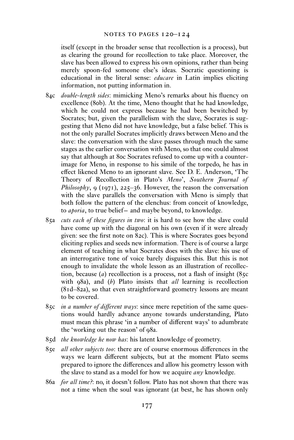itself (except in the broader sense that recollection is a process), but as clearing the ground for recollection to take place. Moreover, the slave has been allowed to express his own opinions, rather than being merely spoon-fed someone else's ideas. Socratic questioning is educational in the literal sense: *educare* in Latin implies eliciting information, not putting information in.

- c *double-length sides*: mimicking Meno's remarks about his fluency on excellence (80b). At the time, Meno thought that he had knowledge, which he could not express because he had been bewitched by Socrates; but, given the parallelism with the slave, Socrates is suggesting that Meno did not have knowledge, but a false belief. This is not the only parallel Socrates implicitly draws between Meno and the slave: the conversation with the slave passes through much the same stages as the earlier conversation with Meno, so that one could almost say that although at 8oc Socrates refused to come up with a counterimage for Meno, in response to his simile of the torpedo, he has in effect likened Meno to an ignorant slave. See D. E. Anderson, 'The Theory of Recollection in Plato's *Meno*', *Southern Journal of Philosophy*,  $q$  (1971), 225–36. However, the reason the conversation with the slave parallels the conversation with Meno is simply that both follow the pattern of the elenchus: from conceit of knowledge, to *aporia*, to true belief– and maybe beyond, to knowledge.
- a *cuts each of these figures in two*: it is hard to see how the slave could have come up with the diagonal on his own (even if it were already given: see the first note on  $82c$ ). This is where Socrates goes beyond eliciting replies and seeds new information. There is of course a large element of teaching in what Socrates does with the slave: his use of an interrogative tone of voice barely disguises this. But this is not enough to invalidate the whole lesson as an illustration of recollection, because  $(a)$  recollection is a process, not a flash of insight  $(85c)$ with 98a), and (*b*) Plato insists that *all* learning is recollection  $(8<sub>1</sub>d-8<sub>2a</sub>)$ , so that even straightforward geometry lessons are meant to be covered.
- c *in a number of different ways*: since mere repetition of the same questions would hardly advance anyone towards understanding, Plato must mean this phrase 'in a number of different ways' to adumbrate the 'working out the reason' of 98a.
- 85d *the knowledge he now has*: his latent knowledge of geometry.
- e *all other subjects too*: there are of course enormous differences in the ways we learn different subjects, but at the moment Plato seems prepared to ignore the differences and allow his geometry lesson with the slave to stand as a model for how we acquire *any* knowledge.
- a *for all time?*: no, it doesn't follow. Plato has not shown that there was not a time when the soul was ignorant (at best, he has shown only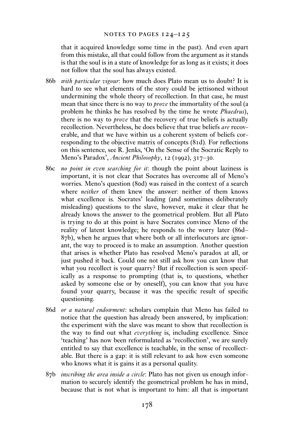that it acquired knowledge some time in the past). And even apart from this mistake, all that could follow from the argument as it stands is that the soul is in a state of knowledge for as long as it exists; it does not follow that the soul has always existed.

- b *with particular vigour*: how much does Plato mean us to doubt? It is hard to see what elements of the story could be jettisoned without undermining the whole theory of recollection. In that case, he must mean that since there is no way to *prove* the immortality of the soul (a problem he thinks he has resolved by the time he wrote *Phaedrus*), there is no way to *prove* that the recovery of true beliefs is actually recollection. Nevertheless, he does believe that true beliefs *are* recoverable, and that we have within us a coherent system of beliefs corresponding to the objective matrix of concepts  $(8rd)$ . For reflections on this sentence, see R. Jenks, 'On the Sense of the Socratic Reply to Meno's Paradox', *Ancient Philosophy*, 12 (1992), 317-30.
- c *no point in even searching for it*: though the point about laziness is important, it is not clear that Socrates has overcome all of Meno's worries. Meno's question (8od) was raised in the context of a search where *neither* of them knew the answer: neither of them knows what excellence is. Socrates' leading (and sometimes deliberately misleading) questions to the slave, however, make it clear that he already knows the answer to the geometrical problem. But all Plato is trying to do at this point is have Socrates convince Meno of the reality of latent knowledge; he responds to the worry later (86d– 87b), when he argues that where both or all interlocutors are ignorant, the way to proceed is to make an assumption. Another question that arises is whether Plato has resolved Meno's paradox at all, or just pushed it back. Could one not still ask how you can know that what you recollect is your quarry? But if recollection is seen specifically as a response to prompting (that is, to questions, whether asked by someone else or by oneself), you can know that you have found your quarry, because it was the specific result of specific questioning.
- 86d *or a natural endowment*: scholars complain that Meno has failed to notice that the question has already been answered, by implication: the experiment with the slave was meant to show that recollection is the way to find out what *everything* is, including excellence. Since 'teaching' has now been reformulated as 'recollection', we are surely entitled to say that excellence is teachable, in the sense of recollectable. But there is a gap: it is still relevant to ask how even someone who knows what it is gains it as a personal quality.
- b *inscribing the area inside a circle*: Plato has not given us enough information to securely identify the geometrical problem he has in mind, because that is not what is important to him: all that is important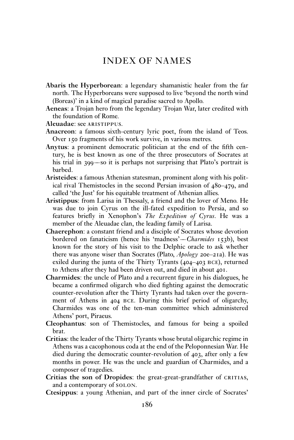### [INDEX OF NAMES](#page-2-0)

- <span id="page-21-0"></span>**Abaris the Hyperborean**: a legendary shamanistic healer from the far north. The Hyperboreans were supposed to live 'beyond the north wind (Boreas)' in a kind of magical paradise sacred to Apollo.
- **Aeneas**: a Trojan hero from the legendary Trojan War, later credited with the foundation of Rome.

Aleuadae: see ARISTIPPUS

- **Anacreon**: a famous sixth-century lyric poet, from the island of Teos. Over 150 fragments of his work survive, in various metres.
- **Anytus**: a prominent democratic politician at the end of the fifth century, he is best known as one of the three prosecutors of Socrates at his trial in  $309$ —so it is perhaps not surprising that Plato's portrait is barbed.
- **Aristeides**: a famous Athenian statesman, prominent along with his political rival Themistocles in the second Persian invasion of  $480-479$ , and called 'the Just' for his equitable treatment of Athenian allies.
- **Aristippus**: from Larisa in Thessaly, a friend and the lover of Meno. He was due to join Cyrus on the ill-fated expedition to Persia, and so features briefly in Xenophon's *The Expedition of Cyrus*. He was a member of the Aleuadae clan, the leading family of Larisa.
- **Chaerephon**: a constant friend and a disciple of Socrates whose devotion bordered on fanaticism (hence his 'madness'—*Charmides* 153b), best known for the story of his visit to the Delphic oracle to ask whether there was anyone wiser than Socrates (Plato, *Apology* 20e–21a). He was exiled during the junta of the Thirty Tyrants ( $404-403$  BCE), returned to Athens after they had been driven out, and died in about 401.
- **Charmides**: the uncle of Plato and a recurrent figure in his dialogues, he became a confirmed oligarch who died fighting against the democratic counter-revolution after the Thirty Tyrants had taken over the government of Athens in 404 BCE. During this brief period of oligarchy, Charmides was one of the ten-man committee which administered Athens' port, Piraeus.
- **Cleophantus**: son of Themistocles, and famous for being a spoiled brat.
- **Critias**: the leader of the Thirty Tyrants whose brutal oligarchic regime in Athens was a cacophonous coda at the end of the Peloponnesian War. He died during the democratic counter-revolution of 403, after only a few months in power. He was the uncle and guardian of Charmides, and a composer of tragedies.
- Critias the son of Dropides: the great-great-grandfather of CRITIAS, and a contemporary of SOLON.
- **Ctesippus**: a young Athenian, and part of the inner circle of Socrates'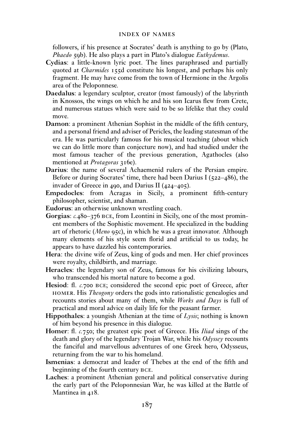#### **INDEX OF NAMES**

followers, if his presence at Socrates' death is anything to go by (Plato, *Phaedo* 59b). He also plays a part in Plato's dialogue *Euthydemus*.

- **Cydias**: a little-known lyric poet. The lines paraphrased and partially quoted at *Charmides* 155d constitute his longest, and perhaps his only fragment. He may have come from the town of Hermione in the Argolis area of the Peloponnese.
- **Daedalus**: a legendary sculptor, creator (most famously) of the labyrinth in Knossos, the wings on which he and his son Icarus flew from Crete, and numerous statues which were said to be so lifelike that they could move.
- **Damon**: a prominent Athenian Sophist in the middle of the fifth century, and a personal friend and adviser of Pericles, the leading statesman of the era. He was particularly famous for his musical teaching (about which we can do little more than conjecture now), and had studied under the most famous teacher of the previous generation, Agathocles (also mentioned at *Protagoras* 316e).
- **Darius**: the name of several Achaemenid rulers of the Persian empire. Before or during Socrates' time, there had been Darius I ( $522-486$ ), the invader of Greece in 490, and Darius II  $(424-405)$ .
- **Empedocles**: from Acragas in Sicily, a prominent fifth-century philosopher, scientist, and shaman.
- **Eudorus**: an otherwise unknown wrestling coach.
- Gorgias: *c.*480–376 BCE, from Leontini in Sicily, one of the most prominent members of the Sophistic movement. He specialized in the budding art of rhetoric (*Meno* 95c), in which he was a great innovator. Although many elements of his style seem florid and artificial to us today, he appears to have dazzled his contemporaries.
- **Hera**: the divine wife of Zeus, king of gods and men. Her chief provinces were royalty, childbirth, and marriage.
- **Heracles**: the legendary son of Zeus, famous for his civilizing labours, who transcended his mortal nature to become a god.
- Hesiod: fl. *c*. 700 BCE; considered the second epic poet of Greece, after . His *Theogony* orders the gods into rationalistic genealogies and recounts stories about many of them, while *Works and Days* is full of practical and moral advice on daily life for the peasant farmer.
- **Hippothales**: a youngish Athenian at the time of *Lysis*; nothing is known of him beyond his presence in this dialogue.
- Homer: fl. *c.*750; the greatest epic poet of Greece. His *Iliad* sings of the death and glory of the legendary Trojan War, while his *Odyssey* recounts the fanciful and marvellous adventures of one Greek hero, Odysseus, returning from the war to his homeland.
- **Ismenias**: a democrat and leader of Thebes at the end of the fifth and beginning of the fourth century BCE.
- **Laches**: a prominent Athenian general and political conservative during the early part of the Peloponnesian War, he was killed at the Battle of Mantinea in 418.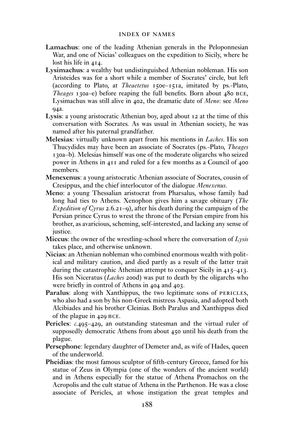#### **INDEX OF NAMES**

- **Lamachus**: one of the leading Athenian generals in the Peloponnesian War, and one of Nicias' colleagues on the expedition to Sicily, where he lost his life in  $414$ .
- **Lysimachus**: a wealthy but undistinguished Athenian nobleman. His son Aristeides was for a short while a member of Socrates' circle, but left (according to Plato, at *Theaetetus* 150e–151a, imitated by ps.-Plato, *Theages* 130a–e) before reaping the full benefits. Born about 480 BCE, Lysimachus was still alive in 402, the dramatic date of *Meno*: see *Meno*  $0.4a$ .
- Lysis: a young aristocratic Athenian boy, aged about 12 at the time of this conversation with Socrates. As was usual in Athenian society, he was named after his paternal grandfather.
- **Melesias**: virtually unknown apart from his mentions in *Laches*. His son Thucydides may have been an associate of Socrates (ps.-Plato, *Theages* a–b). Melesias himself was one of the moderate oligarchs who seized power in Athens in 411 and ruled for a few months as a Council of 400 members.
- **Menexenus**: a young aristocratic Athenian associate of Socrates, cousin of Ctesippus, and the chief interlocutor of the dialogue *Menexenus*.
- **Meno**: a young Thessalian aristocrat from Pharsalus, whose family had long had ties to Athens. Xenophon gives him a savage obituary (*The Expedition of Cyrus* 2.6.21-9), after his death during the campaign of the Persian prince Cyrus to wrest the throne of the Persian empire from his brother, as avaricious, scheming, self-interested, and lacking any sense of justice.
- **Miccus**: the owner of the wrestling-school where the conversation of *Lysis* takes place, and otherwise unknown.
- **Nicias**: an Athenian nobleman who combined enormous wealth with political and military caution, and died partly as a result of the latter trait during the catastrophic Athenian attempt to conquer Sicily in  $415-413$ . His son Niceratus (*Laches* 200d) was put to death by the oligarchs who were briefly in control of Athens in  $404$  and  $403$ .
- Paralus: along with Xanthippus, the two legitimate sons of PERICLES, who also had a son by his non-Greek mistress Aspasia, and adopted both Alcibiades and his brother Cleinias. Both Paralus and Xanthippus died of the plague in  $429$  BCE.
- Pericles: *c.*495–429, an outstanding statesman and the virtual ruler of supposedly democratic Athens from about 450 until his death from the plague.
- Persephone: legendary daughter of Demeter and, as wife of Hades, queen of the underworld.
- **Pheidias**: the most famous sculptor of fifth-century Greece, famed for his statue of Zeus in Olympia (one of the wonders of the ancient world) and in Athens especially for the statue of Athena Promachos on the Acropolis and the cult statue of Athena in the Parthenon. He was a close associate of Pericles, at whose instigation the great temples and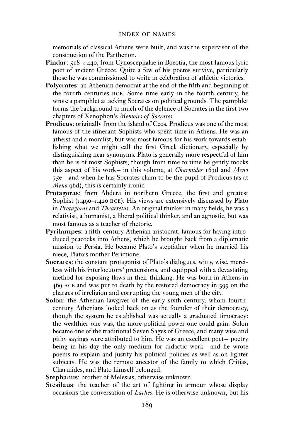memorials of classical Athens were built, and was the supervisor of the construction of the Parthenon.

- **Pindar:**  $518 c$ , 440, from Cynoscephalae in Boeotia, the most famous lyric poet of ancient Greece. Quite a few of his poems survive, particularly those he was commissioned to write in celebration of athletic victories.
- **Polycrates**: an Athenian democrat at the end of the fifth and beginning of the fourth centuries BCE. Some time early in the fourth century, he wrote a pamphlet attacking Socrates on political grounds. The pamphlet forms the background to much of the defence of Socrates in the first two chapters of Xenophon's *Memoirs of Socrates*.
- **Prodicus**: originally from the island of Ceos, Prodicus was one of the most famous of the itinerant Sophists who spent time in Athens. He was an atheist and a moralist, but was most famous for his work towards establishing what we might call the first Greek dictionary, especially by distinguishing near synonyms. Plato is generally more respectful of him than he is of most Sophists, though from time to time he gently mocks this aspect of his work– in this volume, at *Charmides* 163d and *Meno* 75e– and when he has Socrates claim to be the pupil of Prodicus (as at *Meno* 96d), this is certainly ironic.
- **Protagoras**: from Abdera in northern Greece, the first and greatest Sophist  $(c.490 - c.420 \text{ BCE})$ . His views are extensively discussed by Plato in *Protagoras* and *Theaetetus*. An original thinker in many fields, he was a relativist, a humanist, a liberal political thinker, and an agnostic, but was most famous as a teacher of rhetoric.
- **Pyrilampes**: a fifth-century Athenian aristocrat, famous for having introduced peacocks into Athens, which he brought back from a diplomatic mission to Persia. He became Plato's stepfather when he married his niece, Plato's mother Perictione.
- **Socrates**: the constant protagonist of Plato's dialogues, witty, wise, merciless with his interlocutors' pretensions, and equipped with a devastating method for exposing flaws in their thinking. He was born in Athens in  $469$  BCE and was put to death by the restored democracy in  $399$  on the charges of irreligion and corrupting the young men of the city.
- **Solon**: the Athenian lawgiver of the early sixth century, whom fourthcentury Athenians looked back on as the founder of their democracy, though the system he established was actually a graduated timocracy: the wealthier one was, the more political power one could gain. Solon became one of the traditional Seven Sages of Greece, and many wise and pithy sayings were attributed to him. He was an excellent poet– poetry being in his day the only medium for didactic work– and he wrote poems to explain and justify his political policies as well as on lighter subjects. He was the remote ancestor of the family to which Critias, Charmides, and Plato himself belonged.

**Stephanus**: brother of Melesias, otherwise unknown.

**Stesilaus**: the teacher of the art of fighting in armour whose display occasions the conversation of *Laches*. He is otherwise unknown, but his